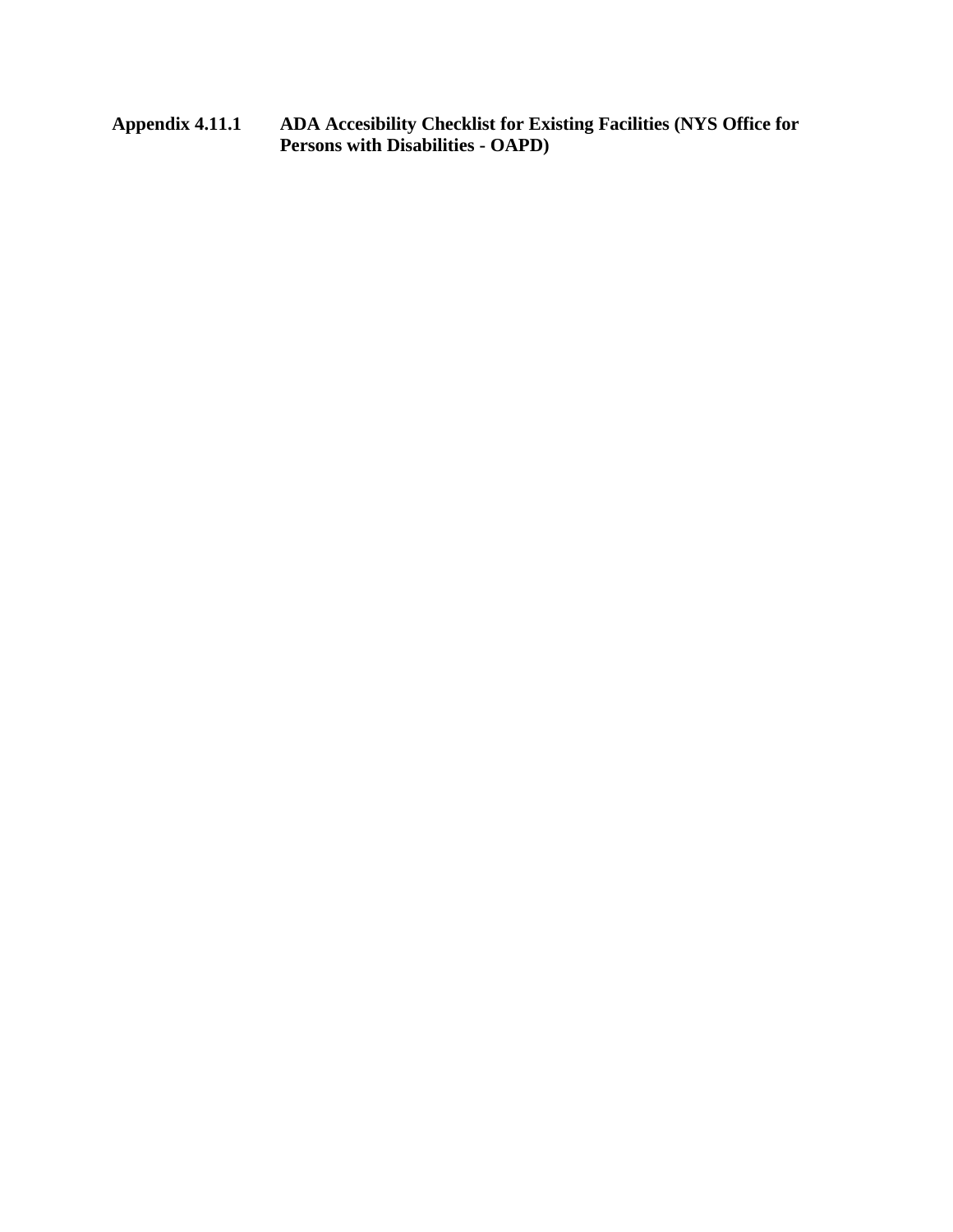**Appendix 4.11.1 ADA Accesibility Checklist for Existing Facilities (NYS Office for Persons with Disabilities - OAPD)**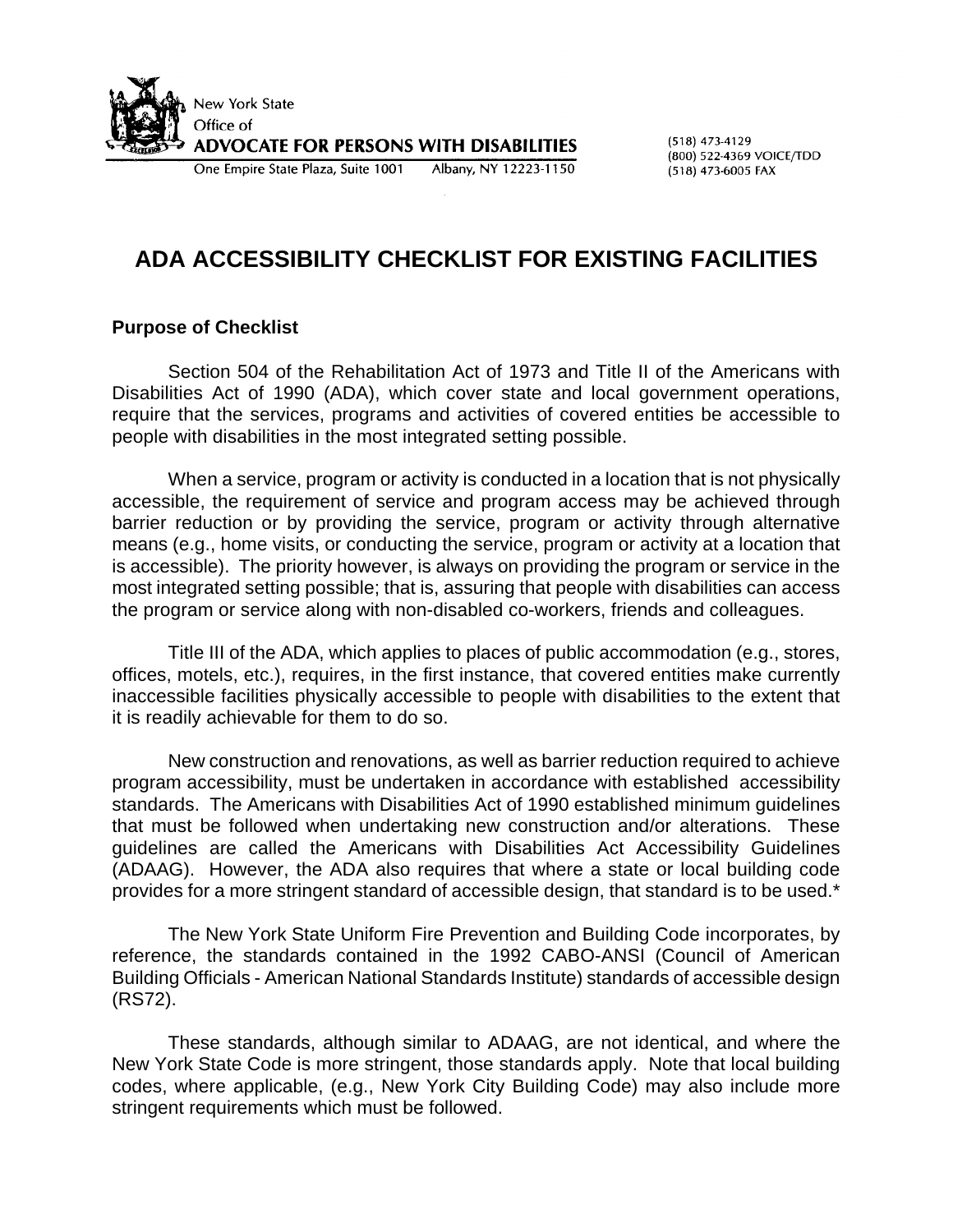

 $(518)$  473-4129 (800) 522-4369 VOICE/TDD (518) 473-6005 FAX

## **ADA ACCESSIBILITY CHECKLIST FOR EXISTING FACILITIES**

#### **Purpose of Checklist**

Section 504 of the Rehabilitation Act of 1973 and Title II of the Americans with Disabilities Act of 1990 (ADA), which cover state and local government operations, require that the services, programs and activities of covered entities be accessible to people with disabilities in the most integrated setting possible.

When a service, program or activity is conducted in a location that is not physically accessible, the requirement of service and program access may be achieved through barrier reduction or by providing the service, program or activity through alternative means (e.g., home visits, or conducting the service, program or activity at a location that is accessible). The priority however, is always on providing the program or service in the most integrated setting possible; that is, assuring that people with disabilities can access the program or service along with non-disabled co-workers, friends and colleagues.

Title III of the ADA, which applies to places of public accommodation (e.g., stores, offices, motels, etc.), requires, in the first instance, that covered entities make currently inaccessible facilities physically accessible to people with disabilities to the extent that it is readily achievable for them to do so.

New construction and renovations, as well as barrier reduction required to achieve program accessibility, must be undertaken in accordance with established accessibility standards. The Americans with Disabilities Act of 1990 established minimum guidelines that must be followed when undertaking new construction and/or alterations. These guidelines are called the Americans with Disabilities Act Accessibility Guidelines (ADAAG). However, the ADA also requires that where a state or local building code provides for a more stringent standard of accessible design, that standard is to be used.\*

The New York State Uniform Fire Prevention and Building Code incorporates, by reference, the standards contained in the 1992 CABO-ANSI (Council of American Building Officials - American National Standards Institute) standards of accessible design (RS72).

These standards, although similar to ADAAG, are not identical, and where the New York State Code is more stringent, those standards apply. Note that local building codes, where applicable, (e.g., New York City Building Code) may also include more stringent requirements which must be followed.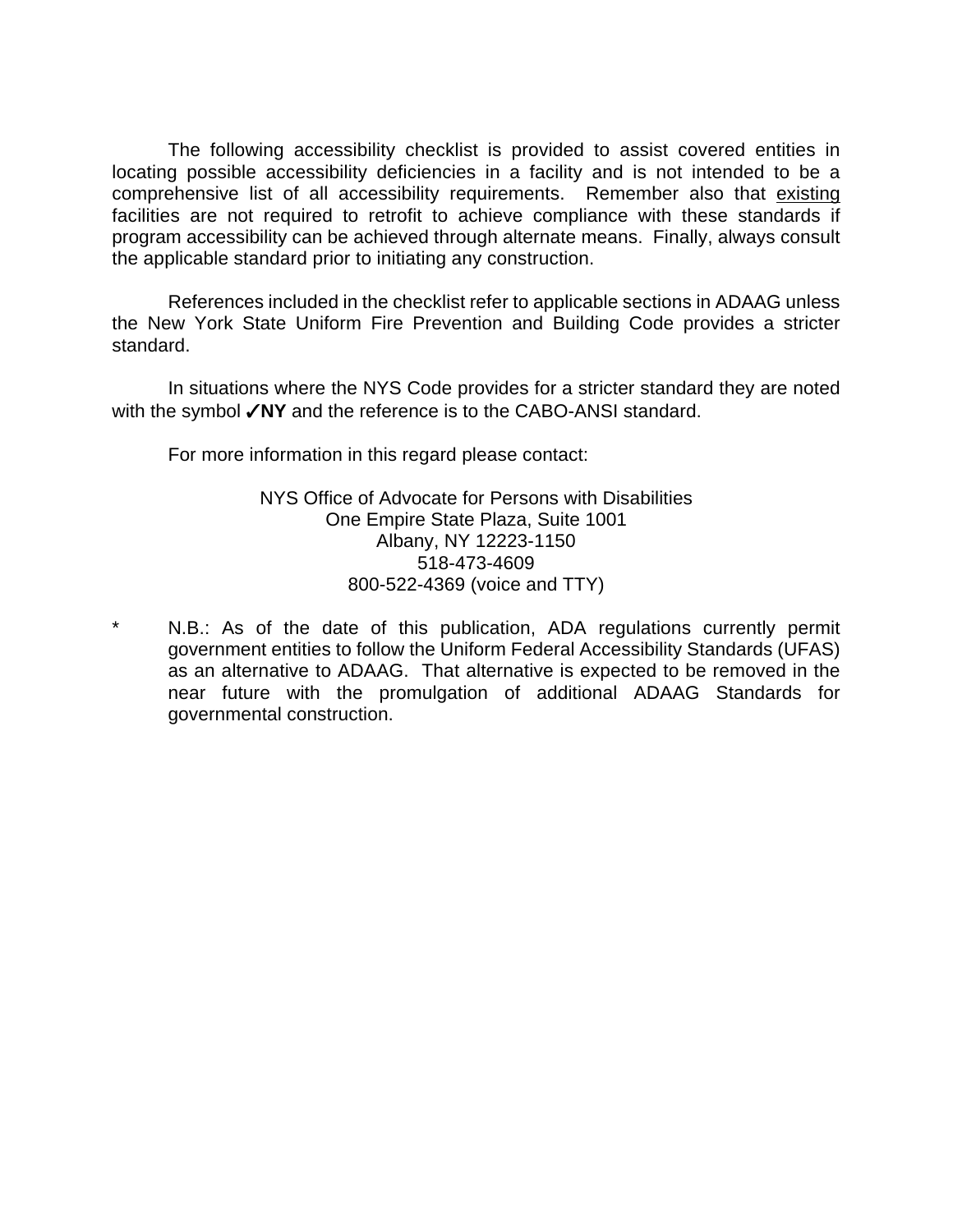The following accessibility checklist is provided to assist covered entities in locating possible accessibility deficiencies in a facility and is not intended to be a comprehensive list of all accessibility requirements. Remember also that existing facilities are not required to retrofit to achieve compliance with these standards if program accessibility can be achieved through alternate means. Finally, always consult the applicable standard prior to initiating any construction.

References included in the checklist refer to applicable sections in ADAAG unless the New York State Uniform Fire Prevention and Building Code provides a stricter standard.

In situations where the NYS Code provides for a stricter standard they are noted with the symbol **VNY** and the reference is to the CABO-ANSI standard.

For more information in this regard please contact:

NYS Office of Advocate for Persons with Disabilities One Empire State Plaza, Suite 1001 Albany, NY 12223-1150 518-473-4609 800-522-4369 (voice and TTY)

N.B.: As of the date of this publication, ADA regulations currently permit government entities to follow the Uniform Federal Accessibility Standards (UFAS) as an alternative to ADAAG. That alternative is expected to be removed in the near future with the promulgation of additional ADAAG Standards for governmental construction.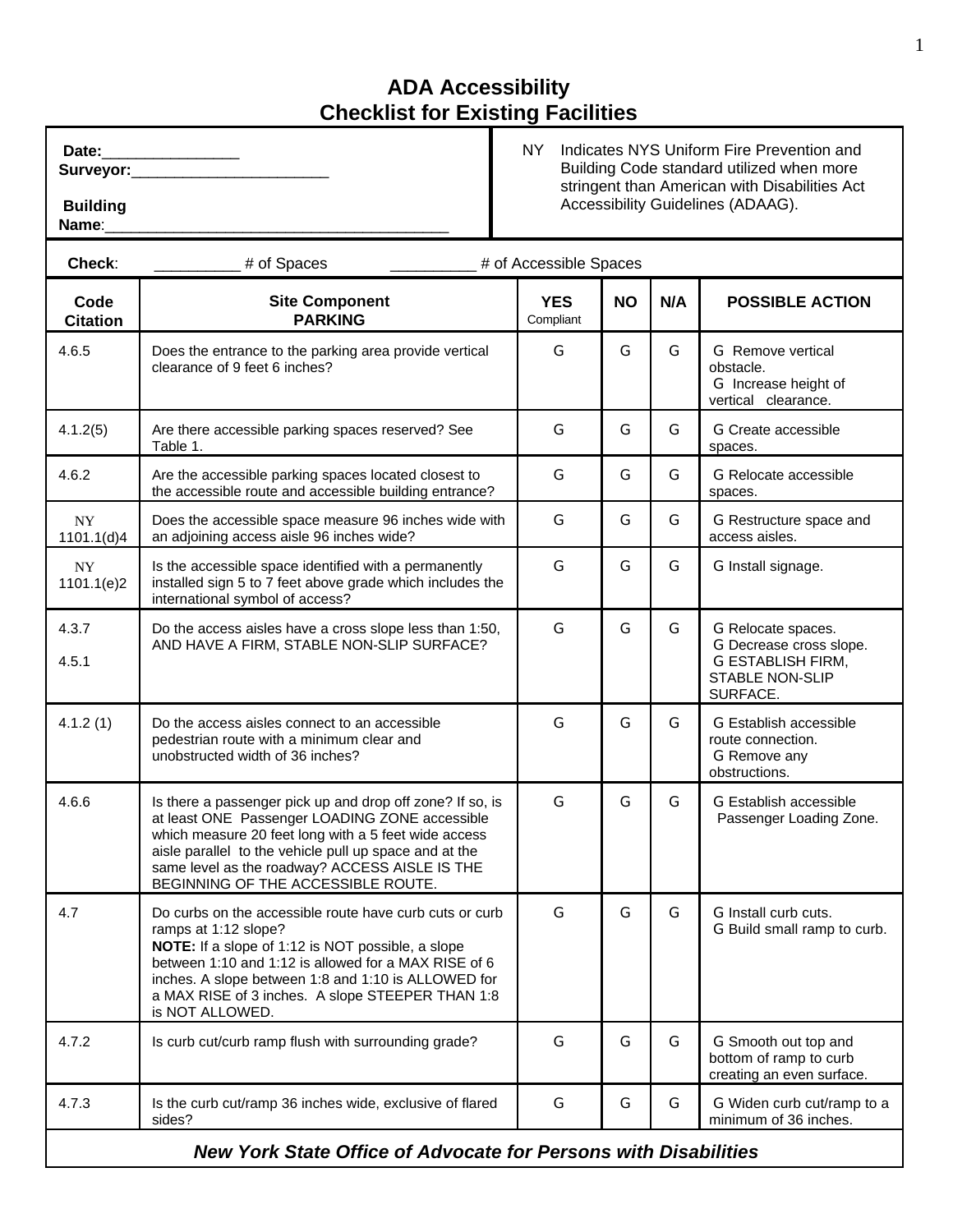| Date:     |  |
|-----------|--|
| <b>C.</b> |  |

Surveyor:

 **Building** Name:

 NY Indicates NYS Uniform Fire Prevention and Building Code standard utilized when more stringent than American with Disabilities Act Accessibility Guidelines (ADAAG).

| Check:                                 | # of Spaces                                                                                                                                                                                                                                                                                                                | # of Accessible Spaces  |           |     |                                                                                                                 |
|----------------------------------------|----------------------------------------------------------------------------------------------------------------------------------------------------------------------------------------------------------------------------------------------------------------------------------------------------------------------------|-------------------------|-----------|-----|-----------------------------------------------------------------------------------------------------------------|
| Code<br><b>Citation</b>                | <b>Site Component</b><br><b>PARKING</b>                                                                                                                                                                                                                                                                                    | <b>YES</b><br>Compliant | <b>NO</b> | N/A | <b>POSSIBLE ACTION</b>                                                                                          |
| 4.6.5                                  | Does the entrance to the parking area provide vertical<br>clearance of 9 feet 6 inches?                                                                                                                                                                                                                                    | G                       | G         | G   | G Remove vertical<br>obstacle.<br>G Increase height of<br>vertical clearance.                                   |
| 4.1.2(5)                               | Are there accessible parking spaces reserved? See<br>Table 1.                                                                                                                                                                                                                                                              | G                       | G         | G   | G Create accessible<br>spaces.                                                                                  |
| 4.6.2                                  | Are the accessible parking spaces located closest to<br>the accessible route and accessible building entrance?                                                                                                                                                                                                             | G                       | G         | G   | <b>G</b> Relocate accessible<br>spaces.                                                                         |
| $\ensuremath{\text{NY}}$<br>1101.1(d)4 | Does the accessible space measure 96 inches wide with<br>an adjoining access aisle 96 inches wide?                                                                                                                                                                                                                         | G                       | G         | G   | G Restructure space and<br>access aisles.                                                                       |
| NY.<br>1101.1(e)2                      | Is the accessible space identified with a permanently<br>installed sign 5 to 7 feet above grade which includes the<br>international symbol of access?                                                                                                                                                                      | G                       | G         | G   | G Install signage.                                                                                              |
| 4.3.7<br>4.5.1                         | Do the access aisles have a cross slope less than 1:50,<br>AND HAVE A FIRM, STABLE NON-SLIP SURFACE?                                                                                                                                                                                                                       | G                       | G         | G   | G Relocate spaces.<br>G Decrease cross slope.<br><b>G ESTABLISH FIRM,</b><br><b>STABLE NON-SLIP</b><br>SURFACE. |
| 4.1.2(1)                               | Do the access aisles connect to an accessible<br>pedestrian route with a minimum clear and<br>unobstructed width of 36 inches?                                                                                                                                                                                             | G                       | G         | G   | <b>G Establish accessible</b><br>route connection.<br>G Remove any<br>obstructions.                             |
| 4.6.6                                  | Is there a passenger pick up and drop off zone? If so, is<br>at least ONE Passenger LOADING ZONE accessible<br>which measure 20 feet long with a 5 feet wide access<br>aisle parallel to the vehicle pull up space and at the<br>same level as the roadway? ACCESS AISLE IS THE<br>BEGINNING OF THE ACCESSIBLE ROUTE.      | G                       | G         | G   | <b>G Establish accessible</b><br>Passenger Loading Zone.                                                        |
| 4.7                                    | Do curbs on the accessible route have curb cuts or curb<br>ramps at 1:12 slope?<br>NOTE: If a slope of 1:12 is NOT possible, a slope<br>between 1:10 and 1:12 is allowed for a MAX RISE of 6<br>inches. A slope between 1:8 and 1:10 is ALLOWED for<br>a MAX RISE of 3 inches. A slope STEEPER THAN 1:8<br>is NOT ALLOWED. | G                       | G         | G   | G Install curb cuts.<br>G Build small ramp to curb.                                                             |
| 4.7.2                                  | Is curb cut/curb ramp flush with surrounding grade?                                                                                                                                                                                                                                                                        | G                       | G         | G   | G Smooth out top and<br>bottom of ramp to curb<br>creating an even surface.                                     |
| 4.7.3                                  | Is the curb cut/ramp 36 inches wide, exclusive of flared<br>sides?                                                                                                                                                                                                                                                         | G                       | G         | G   | G Widen curb cut/ramp to a<br>minimum of 36 inches.                                                             |
|                                        |                                                                                                                                                                                                                                                                                                                            |                         |           |     |                                                                                                                 |

*New York State Office of Advocate for Persons with Disabilities*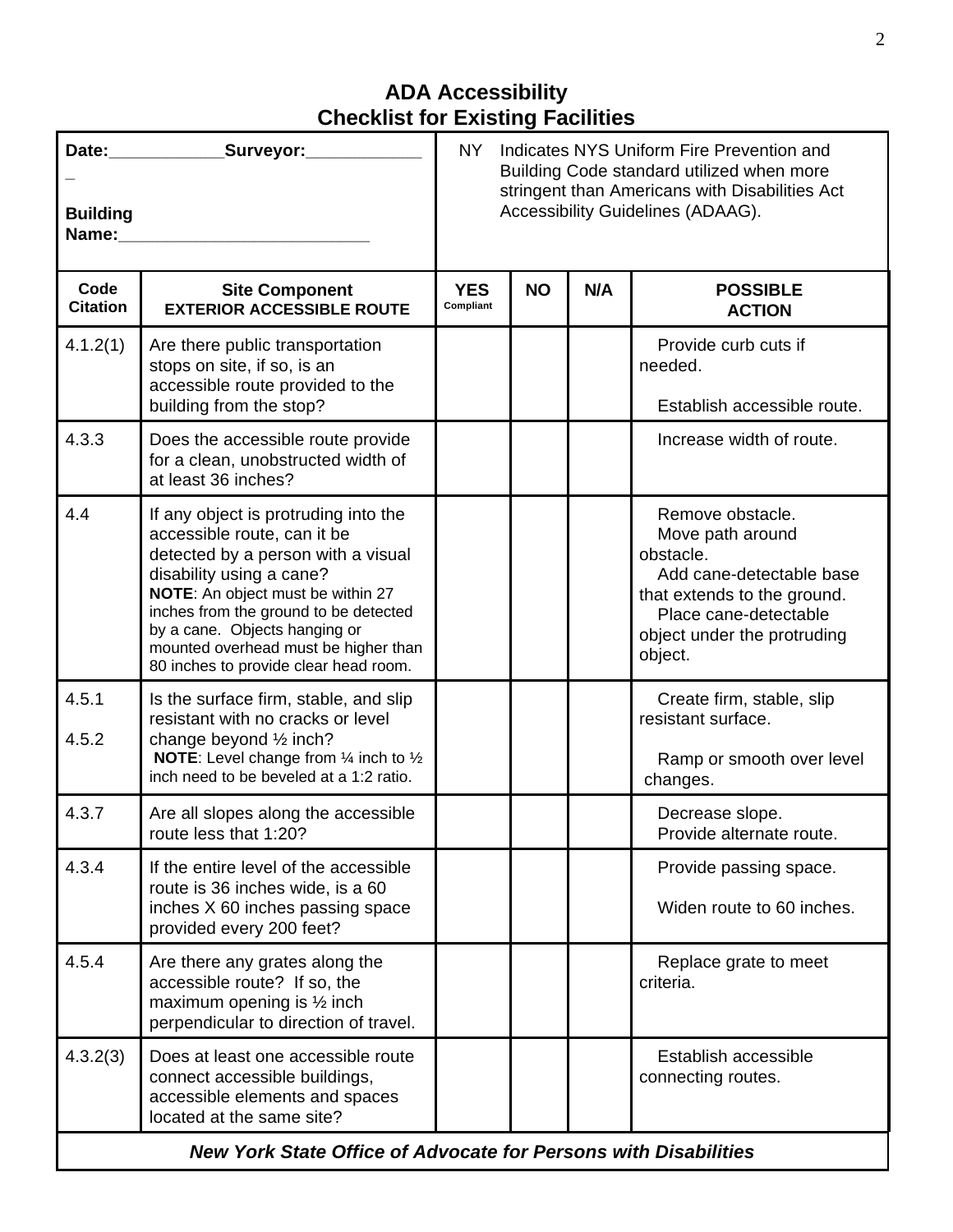| <b>Building</b><br>Name: | Date: _____________Surveyor:___________                                                                                                                                                                                                                                                                                               | <b>NY</b><br>Indicates NYS Uniform Fire Prevention and<br>Building Code standard utilized when more<br>stringent than Americans with Disabilities Act<br>Accessibility Guidelines (ADAAG). |           |     |                                                                                                                                                                                 |  |
|--------------------------|---------------------------------------------------------------------------------------------------------------------------------------------------------------------------------------------------------------------------------------------------------------------------------------------------------------------------------------|--------------------------------------------------------------------------------------------------------------------------------------------------------------------------------------------|-----------|-----|---------------------------------------------------------------------------------------------------------------------------------------------------------------------------------|--|
| Code<br><b>Citation</b>  | <b>Site Component</b><br><b>EXTERIOR ACCESSIBLE ROUTE</b>                                                                                                                                                                                                                                                                             | <b>YES</b><br>Compliant                                                                                                                                                                    | <b>NO</b> | N/A | <b>POSSIBLE</b><br><b>ACTION</b>                                                                                                                                                |  |
| 4.1.2(1)                 | Are there public transportation<br>stops on site, if so, is an<br>accessible route provided to the<br>building from the stop?                                                                                                                                                                                                         |                                                                                                                                                                                            |           |     | Provide curb cuts if<br>needed.<br>Establish accessible route.                                                                                                                  |  |
| 4.3.3                    | Does the accessible route provide<br>for a clean, unobstructed width of<br>at least 36 inches?                                                                                                                                                                                                                                        |                                                                                                                                                                                            |           |     | Increase width of route.                                                                                                                                                        |  |
| 4.4                      | If any object is protruding into the<br>accessible route, can it be<br>detected by a person with a visual<br>disability using a cane?<br>NOTE: An object must be within 27<br>inches from the ground to be detected<br>by a cane. Objects hanging or<br>mounted overhead must be higher than<br>80 inches to provide clear head room. |                                                                                                                                                                                            |           |     | Remove obstacle.<br>Move path around<br>obstacle.<br>Add cane-detectable base<br>that extends to the ground.<br>Place cane-detectable<br>object under the protruding<br>object. |  |
| 4.5.1<br>4.5.2           | Is the surface firm, stable, and slip<br>resistant with no cracks or level<br>change beyond $\frac{1}{2}$ inch?<br><b>NOTE:</b> Level change from $\frac{1}{4}$ inch to $\frac{1}{2}$<br>inch need to be beveled at a 1:2 ratio.                                                                                                      |                                                                                                                                                                                            |           |     | Create firm, stable, slip<br>resistant surface.<br>Ramp or smooth over level<br>changes.                                                                                        |  |
| 4.3.7                    | Are all slopes along the accessible<br>route less that 1:20?                                                                                                                                                                                                                                                                          |                                                                                                                                                                                            |           |     | Decrease slope.<br>Provide alternate route.                                                                                                                                     |  |
| 4.3.4                    | If the entire level of the accessible<br>route is 36 inches wide, is a 60<br>inches X 60 inches passing space<br>provided every 200 feet?                                                                                                                                                                                             |                                                                                                                                                                                            |           |     | Provide passing space.<br>Widen route to 60 inches.                                                                                                                             |  |
| 4.5.4                    | Are there any grates along the<br>accessible route? If so, the<br>maximum opening is $\frac{1}{2}$ inch<br>perpendicular to direction of travel.                                                                                                                                                                                      |                                                                                                                                                                                            |           |     | Replace grate to meet<br>criteria.                                                                                                                                              |  |
| 4.3.2(3)                 | Does at least one accessible route<br>connect accessible buildings,<br>accessible elements and spaces<br>located at the same site?                                                                                                                                                                                                    |                                                                                                                                                                                            |           |     | Establish accessible<br>connecting routes.                                                                                                                                      |  |
|                          | <b>New York State Office of Advocate for Persons with Disabilities</b>                                                                                                                                                                                                                                                                |                                                                                                                                                                                            |           |     |                                                                                                                                                                                 |  |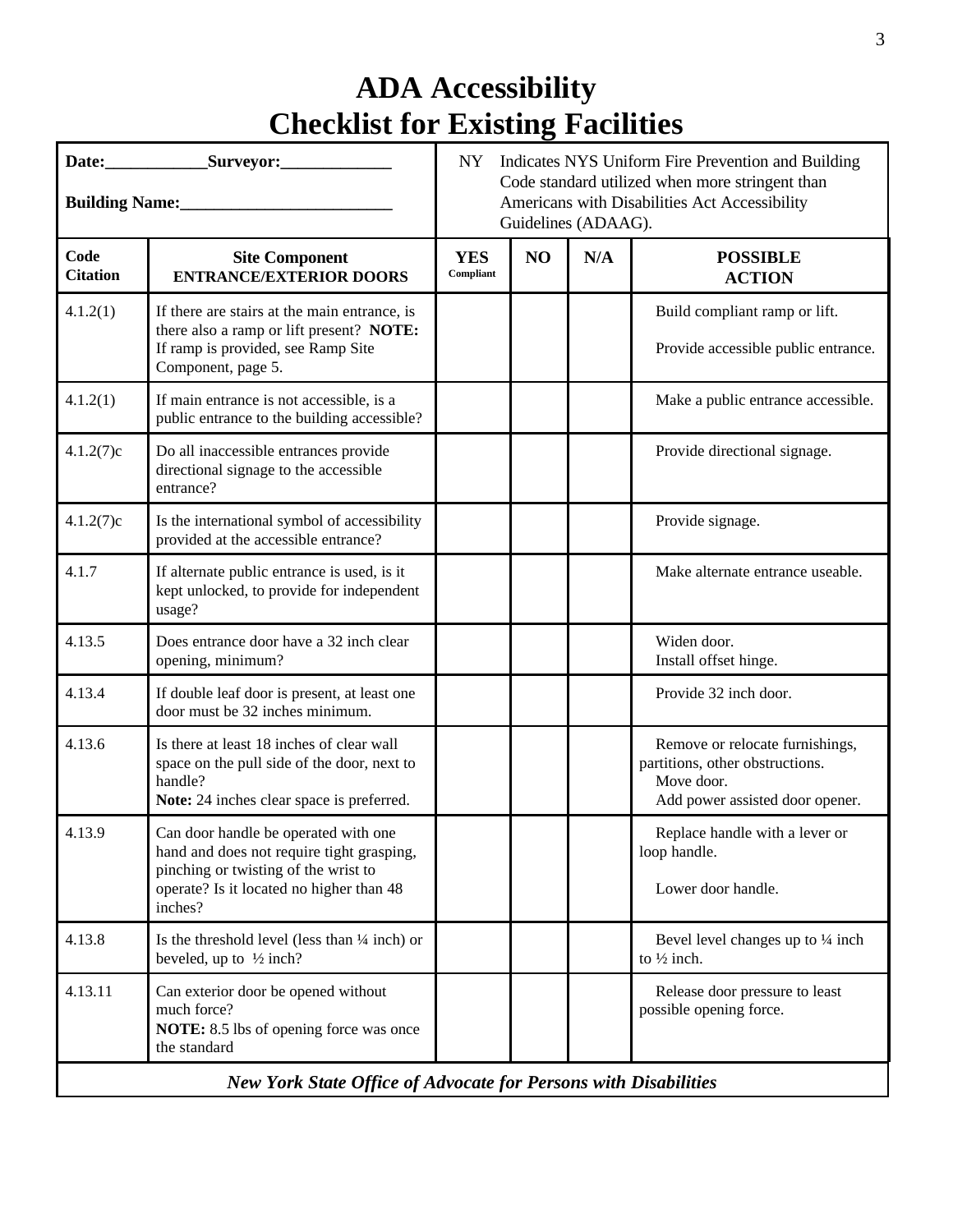| Building Name:<br><u>Letting</u> Camera and Camera and Camera and Camera and Camera and Camera and Camera and Camera and Camera and Camera and Camera and Camera and Camera and Camera and Camera and Camera and Camera and Camera an | Indicates NYS Uniform Fire Prevention and Building<br>NY<br>Code standard utilized when more stringent than<br>Americans with Disabilities Act Accessibility<br>Guidelines (ADAAG). |                         |                |     |                                                                                                                     |  |  |
|---------------------------------------------------------------------------------------------------------------------------------------------------------------------------------------------------------------------------------------|-------------------------------------------------------------------------------------------------------------------------------------------------------------------------------------|-------------------------|----------------|-----|---------------------------------------------------------------------------------------------------------------------|--|--|
| Code<br><b>Citation</b>                                                                                                                                                                                                               | <b>Site Component</b><br><b>ENTRANCE/EXTERIOR DOORS</b>                                                                                                                             | <b>YES</b><br>Compliant | N <sub>O</sub> | N/A | <b>POSSIBLE</b><br><b>ACTION</b>                                                                                    |  |  |
| 4.1.2(1)                                                                                                                                                                                                                              | If there are stairs at the main entrance, is<br>there also a ramp or lift present? NOTE:<br>If ramp is provided, see Ramp Site<br>Component, page 5.                                |                         |                |     | Build compliant ramp or lift.<br>Provide accessible public entrance.                                                |  |  |
| 4.1.2(1)                                                                                                                                                                                                                              | If main entrance is not accessible, is a<br>public entrance to the building accessible?                                                                                             |                         |                |     | Make a public entrance accessible.                                                                                  |  |  |
| 4.1.2(7)c                                                                                                                                                                                                                             | Do all inaccessible entrances provide<br>directional signage to the accessible<br>entrance?                                                                                         |                         |                |     | Provide directional signage.                                                                                        |  |  |
| 4.1.2(7)c                                                                                                                                                                                                                             | Is the international symbol of accessibility<br>provided at the accessible entrance?                                                                                                |                         |                |     | Provide signage.                                                                                                    |  |  |
| 4.1.7                                                                                                                                                                                                                                 | If alternate public entrance is used, is it<br>kept unlocked, to provide for independent<br>usage?                                                                                  |                         |                |     | Make alternate entrance useable.                                                                                    |  |  |
| 4.13.5                                                                                                                                                                                                                                | Does entrance door have a 32 inch clear<br>opening, minimum?                                                                                                                        |                         |                |     | Widen door.<br>Install offset hinge.                                                                                |  |  |
| 4.13.4                                                                                                                                                                                                                                | If double leaf door is present, at least one<br>door must be 32 inches minimum.                                                                                                     |                         |                |     | Provide 32 inch door.                                                                                               |  |  |
| 4.13.6                                                                                                                                                                                                                                | Is there at least 18 inches of clear wall<br>space on the pull side of the door, next to<br>handle?<br>Note: 24 inches clear space is preferred.                                    |                         |                |     | Remove or relocate furnishings,<br>partitions, other obstructions.<br>Move door.<br>Add power assisted door opener. |  |  |
| 4.13.9                                                                                                                                                                                                                                | Can door handle be operated with one<br>hand and does not require tight grasping,<br>pinching or twisting of the wrist to<br>operate? Is it located no higher than 48<br>inches?    |                         |                |     | Replace handle with a lever or<br>loop handle.<br>Lower door handle.                                                |  |  |
| 4.13.8                                                                                                                                                                                                                                | Is the threshold level (less than $\frac{1}{4}$ inch) or<br>beveled, up to $\frac{1}{2}$ inch?                                                                                      |                         |                |     | Bevel level changes up to 1/4 inch<br>to $\frac{1}{2}$ inch.                                                        |  |  |
| 4.13.11                                                                                                                                                                                                                               | Can exterior door be opened without<br>much force?<br>NOTE: 8.5 lbs of opening force was once<br>the standard                                                                       |                         |                |     | Release door pressure to least<br>possible opening force.                                                           |  |  |
|                                                                                                                                                                                                                                       | New York State Office of Advocate for Persons with Disabilities                                                                                                                     |                         |                |     |                                                                                                                     |  |  |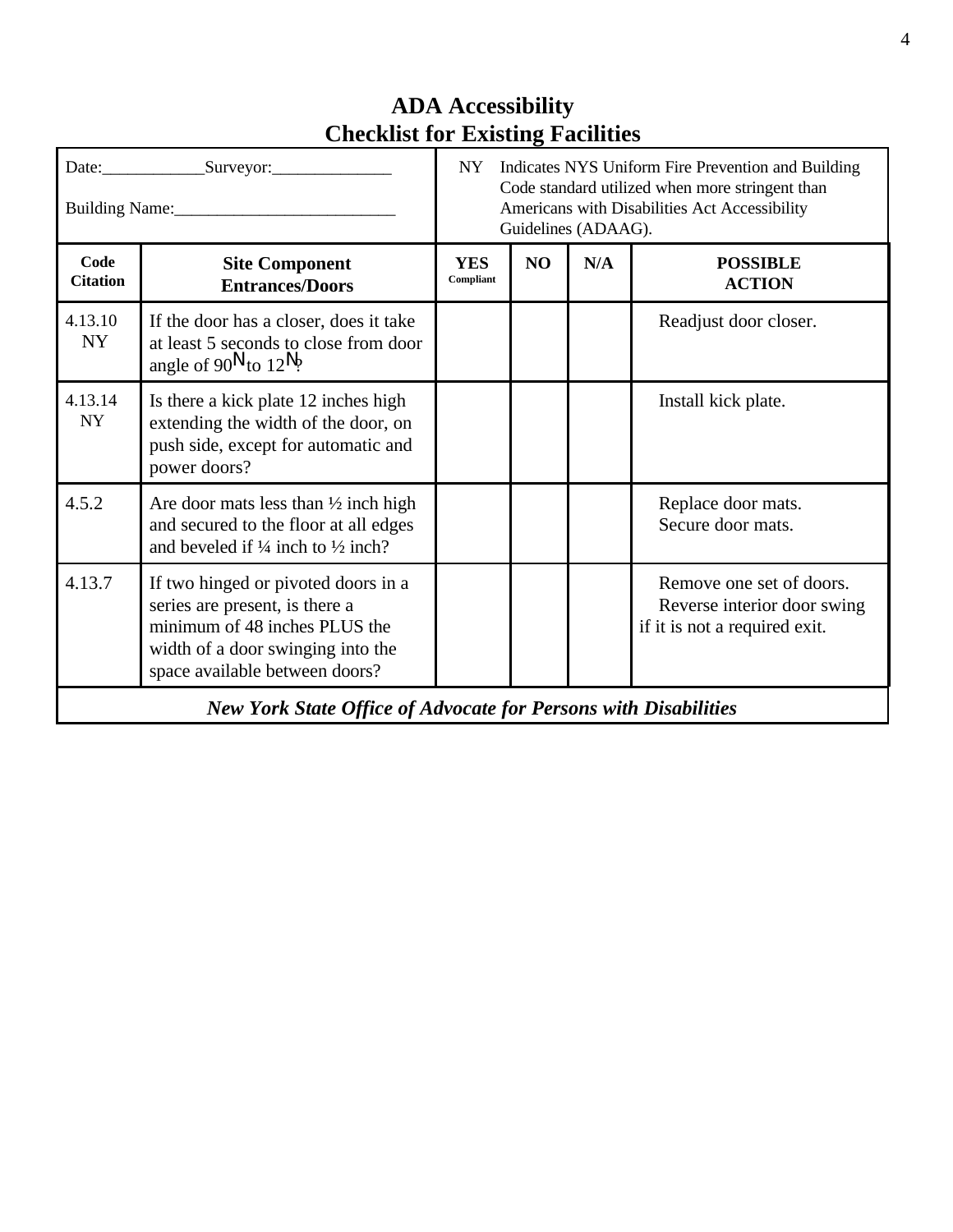| Building Name:          | Indicates NYS Uniform Fire Prevention and Building<br>NY<br>Code standard utilized when more stringent than<br>Americans with Disabilities Act Accessibility<br>Guidelines (ADAAG). |                  |    |     |                                                                                          |
|-------------------------|-------------------------------------------------------------------------------------------------------------------------------------------------------------------------------------|------------------|----|-----|------------------------------------------------------------------------------------------|
| Code<br><b>Citation</b> | <b>Site Component</b><br><b>Entrances/Doors</b>                                                                                                                                     | YES<br>Compliant | NO | N/A | <b>POSSIBLE</b><br><b>ACTION</b>                                                         |
| 4.13.10<br><b>NY</b>    | If the door has a closer, does it take<br>at least 5 seconds to close from door<br>angle of 90 <sup>N</sup> to 12 <sup>N</sup> ?                                                    |                  |    |     | Readjust door closer.                                                                    |
| 4.13.14<br><b>NY</b>    | Is there a kick plate 12 inches high<br>extending the width of the door, on<br>push side, except for automatic and<br>power doors?                                                  |                  |    |     | Install kick plate.                                                                      |
| 4.5.2                   | Are door mats less than $\frac{1}{2}$ inch high<br>and secured to the floor at all edges<br>and beveled if $\frac{1}{4}$ inch to $\frac{1}{2}$ inch?                                |                  |    |     | Replace door mats.<br>Secure door mats.                                                  |
| 4.13.7                  | If two hinged or pivoted doors in a<br>series are present, is there a<br>minimum of 48 inches PLUS the<br>width of a door swinging into the<br>space available between doors?       |                  |    |     | Remove one set of doors.<br>Reverse interior door swing<br>if it is not a required exit. |
|                         | <b>New York State Office of Advocate for Persons with Disabilities</b>                                                                                                              |                  |    |     |                                                                                          |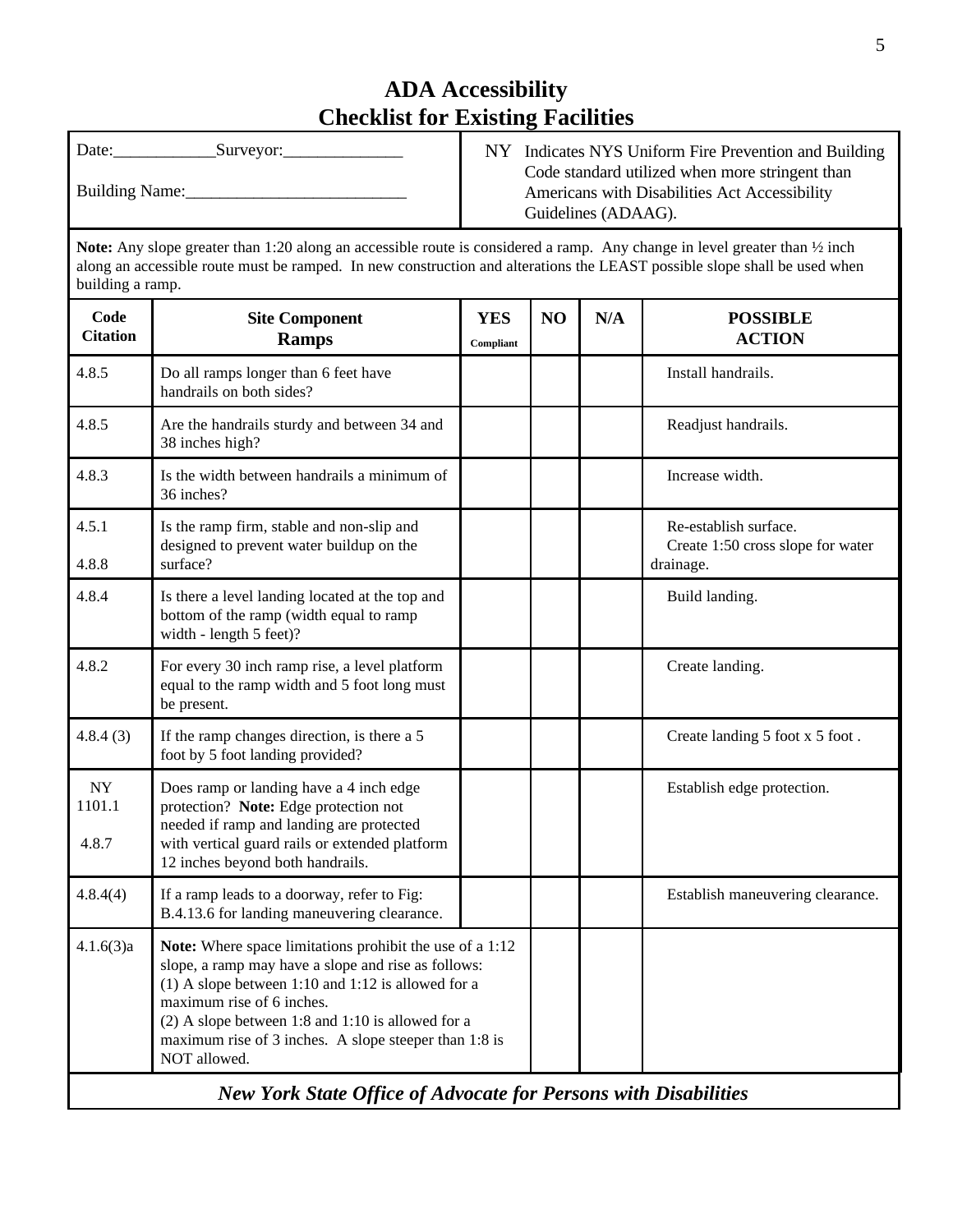| Date:<br>Surveyor: | Indicates NYS Uniform Fire Prevention and Building                                                                      |
|--------------------|-------------------------------------------------------------------------------------------------------------------------|
| Building Name:     | Code standard utilized when more stringent than<br>Americans with Disabilities Act Accessibility<br>Guidelines (ADAAG). |

**Note:** Any slope greater than 1:20 along an accessible route is considered a ramp. Any change in level greater than ½ inch along an accessible route must be ramped. In new construction and alterations the LEAST possible slope shall be used when building a ramp.

| Code<br><b>Citation</b>                                                                                                                                                                                                                                                                                                                         | <b>Site Component</b><br><b>Ramps</b>                                                                                                                                                                              | <b>YES</b><br>Compliant | N <sub>O</sub> | N/A | <b>POSSIBLE</b><br><b>ACTION</b>                                        |
|-------------------------------------------------------------------------------------------------------------------------------------------------------------------------------------------------------------------------------------------------------------------------------------------------------------------------------------------------|--------------------------------------------------------------------------------------------------------------------------------------------------------------------------------------------------------------------|-------------------------|----------------|-----|-------------------------------------------------------------------------|
| 4.8.5                                                                                                                                                                                                                                                                                                                                           | Do all ramps longer than 6 feet have<br>handrails on both sides?                                                                                                                                                   |                         |                |     | Install handrails.                                                      |
| 4.8.5                                                                                                                                                                                                                                                                                                                                           | Are the handrails sturdy and between 34 and<br>38 inches high?                                                                                                                                                     |                         |                |     | Readjust handrails.                                                     |
| 4.8.3                                                                                                                                                                                                                                                                                                                                           | Is the width between handrails a minimum of<br>36 inches?                                                                                                                                                          |                         |                |     | Increase width.                                                         |
| 4.5.1<br>4.8.8                                                                                                                                                                                                                                                                                                                                  | Is the ramp firm, stable and non-slip and<br>designed to prevent water buildup on the<br>surface?                                                                                                                  |                         |                |     | Re-establish surface.<br>Create 1:50 cross slope for water<br>drainage. |
| 4.8.4                                                                                                                                                                                                                                                                                                                                           | Is there a level landing located at the top and<br>bottom of the ramp (width equal to ramp<br>width - length 5 feet)?                                                                                              |                         |                |     | Build landing.                                                          |
| 4.8.2                                                                                                                                                                                                                                                                                                                                           | For every 30 inch ramp rise, a level platform<br>equal to the ramp width and 5 foot long must<br>be present.                                                                                                       |                         |                |     | Create landing.                                                         |
| 4.8.4(3)                                                                                                                                                                                                                                                                                                                                        | If the ramp changes direction, is there a 5<br>foot by 5 foot landing provided?                                                                                                                                    |                         |                |     | Create landing 5 foot x 5 foot.                                         |
| <b>NY</b><br>1101.1<br>4.8.7                                                                                                                                                                                                                                                                                                                    | Does ramp or landing have a 4 inch edge<br>protection? Note: Edge protection not<br>needed if ramp and landing are protected<br>with vertical guard rails or extended platform<br>12 inches beyond both handrails. |                         |                |     | Establish edge protection.                                              |
| 4.8.4(4)                                                                                                                                                                                                                                                                                                                                        | If a ramp leads to a doorway, refer to Fig:<br>B.4.13.6 for landing maneuvering clearance.                                                                                                                         |                         |                |     | Establish maneuvering clearance.                                        |
| 4.1.6(3)a<br>Note: Where space limitations prohibit the use of a 1:12<br>slope, a ramp may have a slope and rise as follows:<br>(1) A slope between 1:10 and 1:12 is allowed for a<br>maximum rise of 6 inches.<br>$(2)$ A slope between 1:8 and 1:10 is allowed for a<br>maximum rise of 3 inches. A slope steeper than 1:8 is<br>NOT allowed. |                                                                                                                                                                                                                    |                         |                |     |                                                                         |
|                                                                                                                                                                                                                                                                                                                                                 | <b>New York State Office of Advocate for Persons with Disabilities</b>                                                                                                                                             |                         |                |     |                                                                         |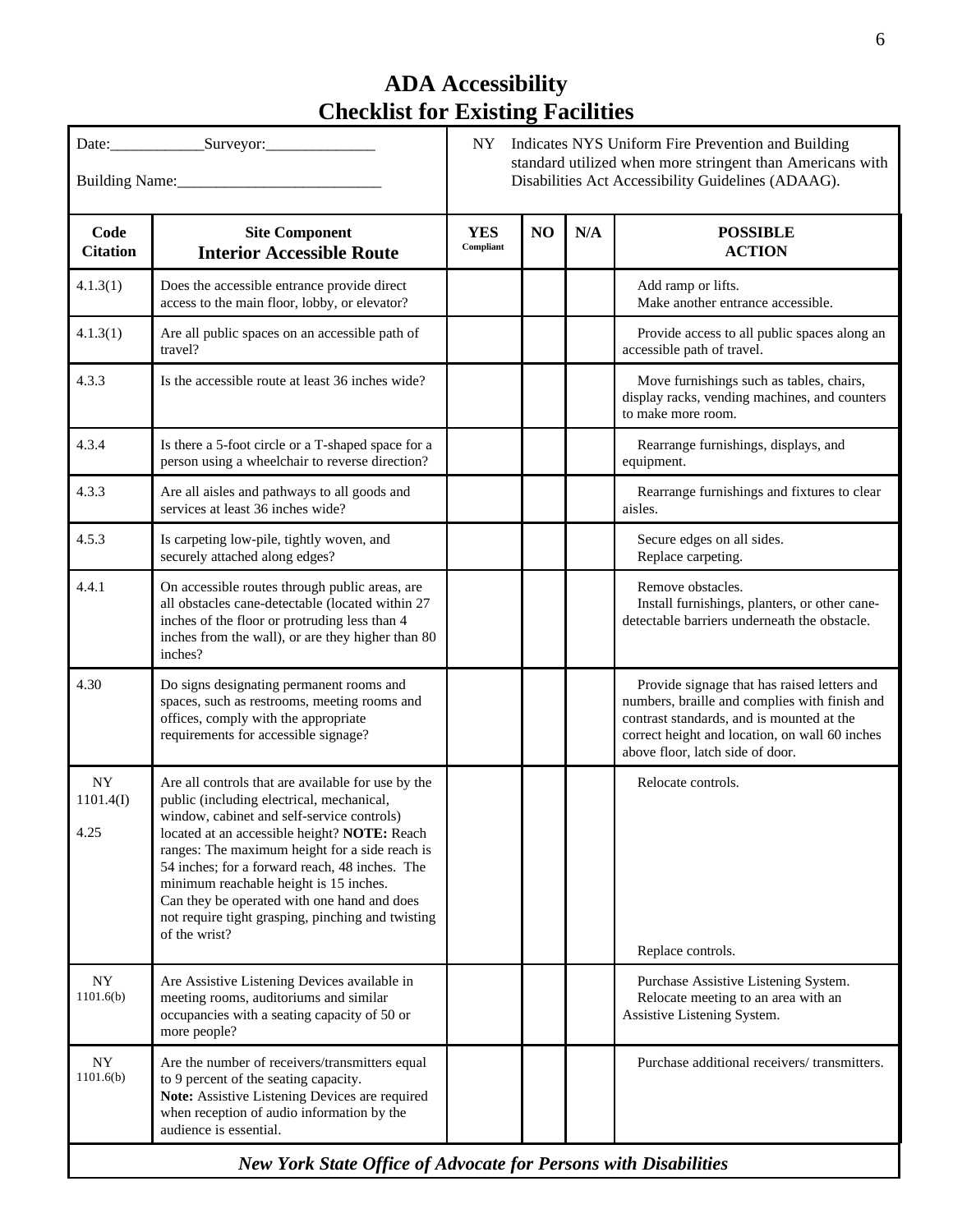|                                                                        |                                                                                                                                                                                                                                                                                                                                                                                                                                                                  | NY<br>Indicates NYS Uniform Fire Prevention and Building<br>standard utilized when more stringent than Americans with<br>Disabilities Act Accessibility Guidelines (ADAAG). |    |     |                                                                                                                                                                                                                                 |
|------------------------------------------------------------------------|------------------------------------------------------------------------------------------------------------------------------------------------------------------------------------------------------------------------------------------------------------------------------------------------------------------------------------------------------------------------------------------------------------------------------------------------------------------|-----------------------------------------------------------------------------------------------------------------------------------------------------------------------------|----|-----|---------------------------------------------------------------------------------------------------------------------------------------------------------------------------------------------------------------------------------|
|                                                                        |                                                                                                                                                                                                                                                                                                                                                                                                                                                                  |                                                                                                                                                                             |    |     |                                                                                                                                                                                                                                 |
| Code<br><b>Citation</b>                                                | <b>Site Component</b><br><b>Interior Accessible Route</b>                                                                                                                                                                                                                                                                                                                                                                                                        | <b>YES</b><br>Compliant                                                                                                                                                     | NO | N/A | <b>POSSIBLE</b><br><b>ACTION</b>                                                                                                                                                                                                |
| 4.1.3(1)                                                               | Does the accessible entrance provide direct<br>access to the main floor, lobby, or elevator?                                                                                                                                                                                                                                                                                                                                                                     |                                                                                                                                                                             |    |     | Add ramp or lifts.<br>Make another entrance accessible.                                                                                                                                                                         |
| 4.1.3(1)                                                               | Are all public spaces on an accessible path of<br>travel?                                                                                                                                                                                                                                                                                                                                                                                                        |                                                                                                                                                                             |    |     | Provide access to all public spaces along an<br>accessible path of travel.                                                                                                                                                      |
| 4.3.3                                                                  | Is the accessible route at least 36 inches wide?                                                                                                                                                                                                                                                                                                                                                                                                                 |                                                                                                                                                                             |    |     | Move furnishings such as tables, chairs,<br>display racks, vending machines, and counters<br>to make more room.                                                                                                                 |
| 4.3.4                                                                  | Is there a 5-foot circle or a T-shaped space for a<br>person using a wheelchair to reverse direction?                                                                                                                                                                                                                                                                                                                                                            |                                                                                                                                                                             |    |     | Rearrange furnishings, displays, and<br>equipment.                                                                                                                                                                              |
| 4.3.3                                                                  | Are all aisles and pathways to all goods and<br>services at least 36 inches wide?                                                                                                                                                                                                                                                                                                                                                                                |                                                                                                                                                                             |    |     | Rearrange furnishings and fixtures to clear<br>aisles.                                                                                                                                                                          |
| 4.5.3                                                                  | Is carpeting low-pile, tightly woven, and<br>securely attached along edges?                                                                                                                                                                                                                                                                                                                                                                                      |                                                                                                                                                                             |    |     | Secure edges on all sides.<br>Replace carpeting.                                                                                                                                                                                |
| 4.4.1                                                                  | On accessible routes through public areas, are<br>all obstacles cane-detectable (located within 27<br>inches of the floor or protruding less than 4<br>inches from the wall), or are they higher than 80<br>inches?                                                                                                                                                                                                                                              |                                                                                                                                                                             |    |     | Remove obstacles.<br>Install furnishings, planters, or other cane-<br>detectable barriers underneath the obstacle.                                                                                                              |
| 4.30                                                                   | Do signs designating permanent rooms and<br>spaces, such as restrooms, meeting rooms and<br>offices, comply with the appropriate<br>requirements for accessible signage?                                                                                                                                                                                                                                                                                         |                                                                                                                                                                             |    |     | Provide signage that has raised letters and<br>numbers, braille and complies with finish and<br>contrast standards, and is mounted at the<br>correct height and location, on wall 60 inches<br>above floor, latch side of door. |
| <b>NY</b><br>1101.4(I)<br>4.25                                         | Are all controls that are available for use by the<br>public (including electrical, mechanical,<br>window, cabinet and self-service controls)<br>located at an accessible height? NOTE: Reach<br>ranges: The maximum height for a side reach is<br>54 inches; for a forward reach, 48 inches. The<br>minimum reachable height is 15 inches.<br>Can they be operated with one hand and does<br>not require tight grasping, pinching and twisting<br>of the wrist? |                                                                                                                                                                             |    |     | Relocate controls.<br>Replace controls.                                                                                                                                                                                         |
| <b>NY</b><br>1101.6(b)                                                 | Are Assistive Listening Devices available in<br>meeting rooms, auditoriums and similar<br>occupancies with a seating capacity of 50 or<br>more people?                                                                                                                                                                                                                                                                                                           |                                                                                                                                                                             |    |     | Purchase Assistive Listening System.<br>Relocate meeting to an area with an<br>Assistive Listening System.                                                                                                                      |
| <b>NY</b><br>1101.6(b)                                                 | Are the number of receivers/transmitters equal<br>to 9 percent of the seating capacity.<br>Note: Assistive Listening Devices are required<br>when reception of audio information by the<br>audience is essential.                                                                                                                                                                                                                                                |                                                                                                                                                                             |    |     | Purchase additional receivers/transmitters.                                                                                                                                                                                     |
| <b>New York State Office of Advocate for Persons with Disabilities</b> |                                                                                                                                                                                                                                                                                                                                                                                                                                                                  |                                                                                                                                                                             |    |     |                                                                                                                                                                                                                                 |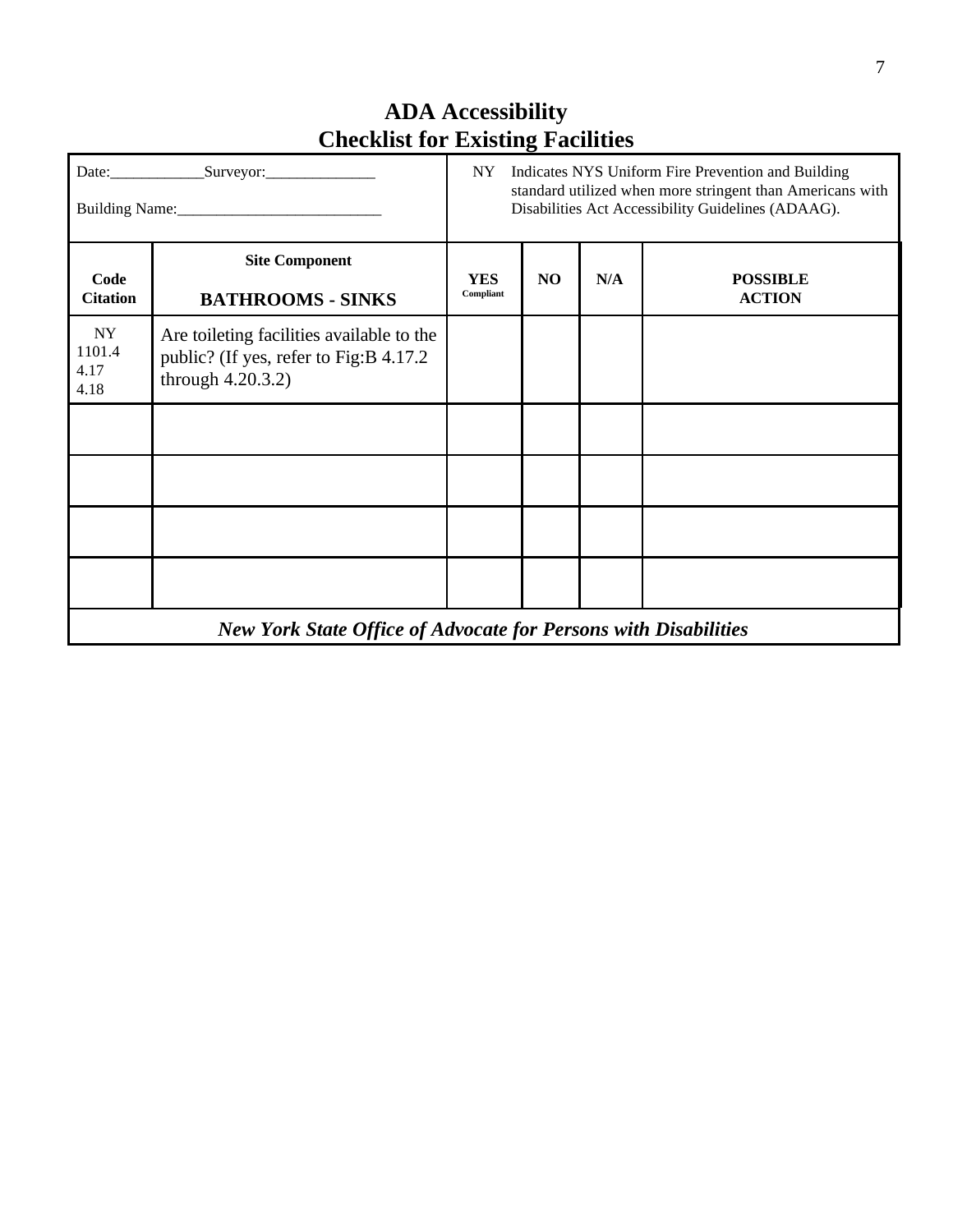|                              | NY                                                                                                           |                         |                | Indicates NYS Uniform Fire Prevention and Building<br>standard utilized when more stringent than Americans with<br>Disabilities Act Accessibility Guidelines (ADAAG). |                                  |  |  |
|------------------------------|--------------------------------------------------------------------------------------------------------------|-------------------------|----------------|-----------------------------------------------------------------------------------------------------------------------------------------------------------------------|----------------------------------|--|--|
| Code<br><b>Citation</b>      | <b>Site Component</b><br><b>BATHROOMS - SINKS</b>                                                            | <b>YES</b><br>Compliant | N <sub>O</sub> | N/A                                                                                                                                                                   | <b>POSSIBLE</b><br><b>ACTION</b> |  |  |
| NY<br>1101.4<br>4.17<br>4.18 | Are toileting facilities available to the<br>public? (If yes, refer to Fig:B 4.17.2)<br>through $4.20.3.2$ ) |                         |                |                                                                                                                                                                       |                                  |  |  |
|                              |                                                                                                              |                         |                |                                                                                                                                                                       |                                  |  |  |
|                              |                                                                                                              |                         |                |                                                                                                                                                                       |                                  |  |  |
|                              |                                                                                                              |                         |                |                                                                                                                                                                       |                                  |  |  |
|                              |                                                                                                              |                         |                |                                                                                                                                                                       |                                  |  |  |
|                              | <b>New York State Office of Advocate for Persons with Disabilities</b>                                       |                         |                |                                                                                                                                                                       |                                  |  |  |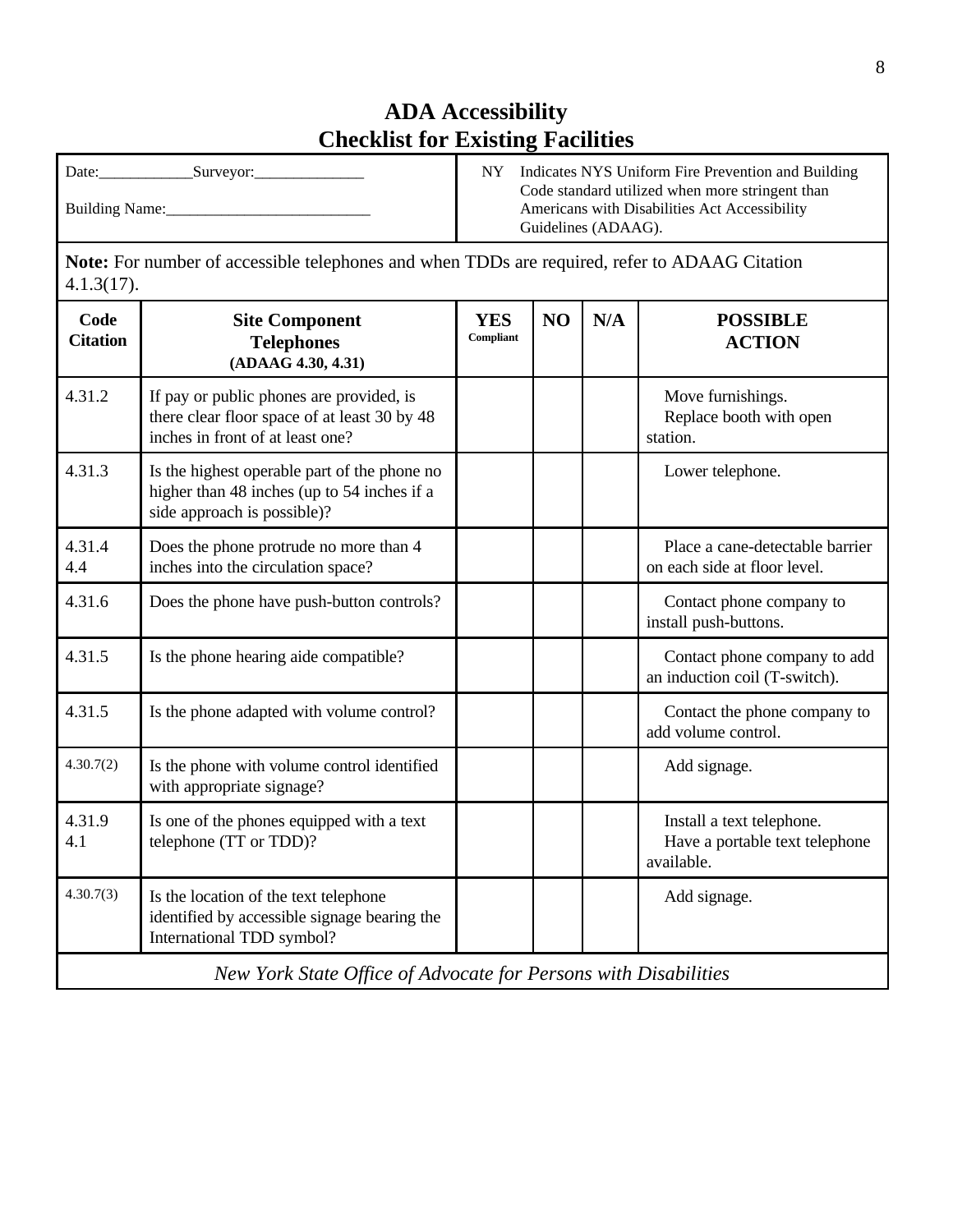| Date:                 | Indicates NYS Uniform Fire Prevention and Building                                                                      |
|-----------------------|-------------------------------------------------------------------------------------------------------------------------|
| Surveyor:             | NY.                                                                                                                     |
| <b>Building Name:</b> | Code standard utilized when more stringent than<br>Americans with Disabilities Act Accessibility<br>Guidelines (ADAAG). |

**Note:** For number of accessible telephones and when TDDs are required, refer to ADAAG Citation 4.1.3(17).

| Code<br><b>Citation</b> | <b>Site Component</b><br><b>Telephones</b><br>(ADAAG 4.30, 4.31)                                                             | <b>YES</b><br>Compliant | N <sub>O</sub> | N/A | <b>POSSIBLE</b><br><b>ACTION</b>                                          |
|-------------------------|------------------------------------------------------------------------------------------------------------------------------|-------------------------|----------------|-----|---------------------------------------------------------------------------|
| 4.31.2                  | If pay or public phones are provided, is<br>there clear floor space of at least 30 by 48<br>inches in front of at least one? |                         |                |     | Move furnishings.<br>Replace booth with open<br>station.                  |
| 4.31.3                  | Is the highest operable part of the phone no<br>higher than 48 inches (up to 54 inches if a<br>side approach is possible)?   |                         |                |     | Lower telephone.                                                          |
| 4.31.4<br>4.4           | Does the phone protrude no more than 4<br>inches into the circulation space?                                                 |                         |                |     | Place a cane-detectable barrier<br>on each side at floor level.           |
| 4.31.6                  | Does the phone have push-button controls?                                                                                    |                         |                |     | Contact phone company to<br>install push-buttons.                         |
| 4.31.5                  | Is the phone hearing aide compatible?                                                                                        |                         |                |     | Contact phone company to add<br>an induction coil (T-switch).             |
| 4.31.5                  | Is the phone adapted with volume control?                                                                                    |                         |                |     | Contact the phone company to<br>add volume control.                       |
| 4.30.7(2)               | Is the phone with volume control identified<br>with appropriate signage?                                                     |                         |                |     | Add signage.                                                              |
| 4.31.9<br>4.1           | Is one of the phones equipped with a text<br>telephone (TT or TDD)?                                                          |                         |                |     | Install a text telephone.<br>Have a portable text telephone<br>available. |
| 4.30.7(3)               | Is the location of the text telephone<br>identified by accessible signage bearing the<br>International TDD symbol?           |                         |                |     | Add signage.                                                              |
|                         | New York State Office of Advocate for Persons with Disabilities                                                              |                         |                |     |                                                                           |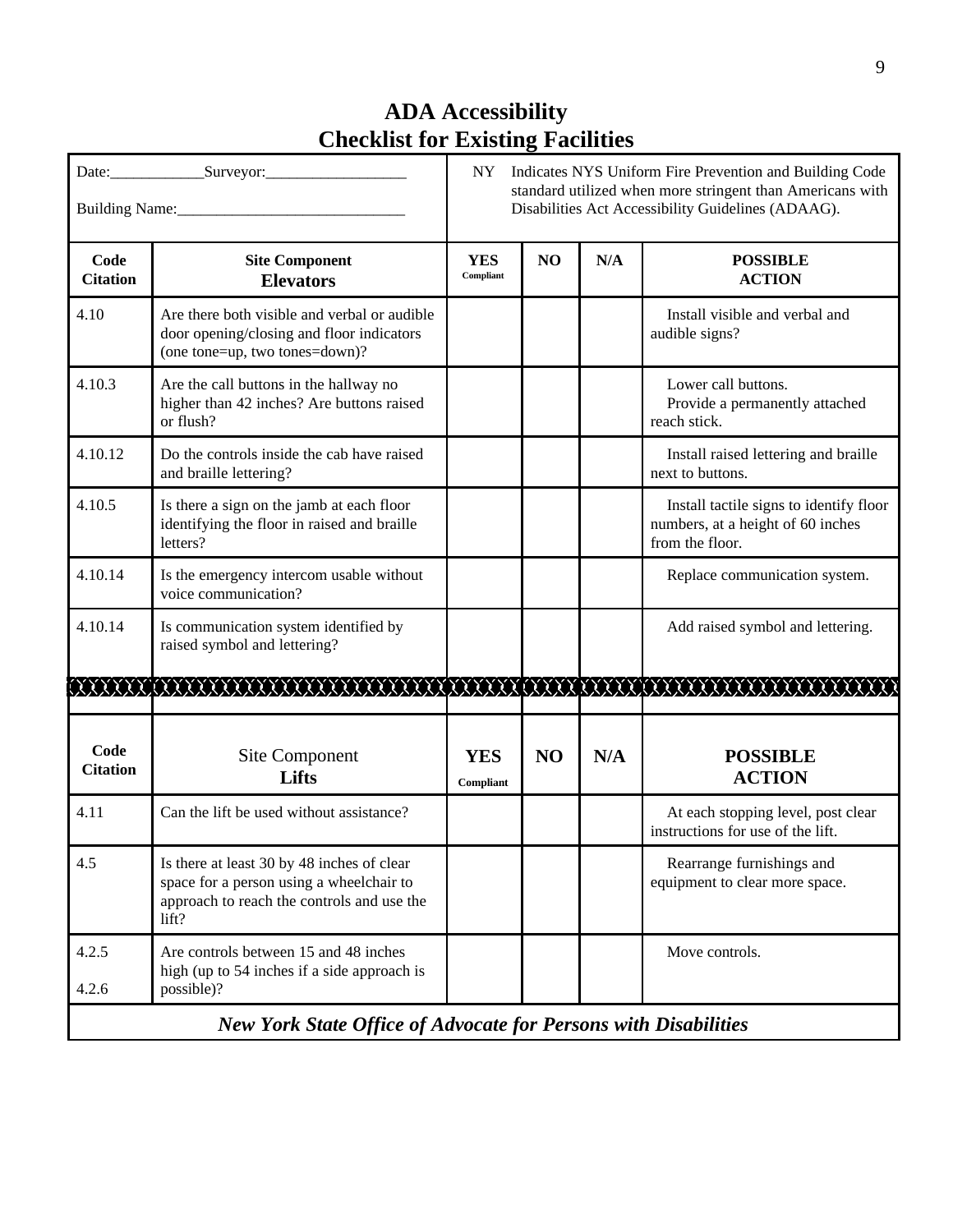|                                                                        | Building Name: 1988                                                                                                                           | Indicates NYS Uniform Fire Prevention and Building Code<br>NY<br>standard utilized when more stringent than Americans with<br>Disabilities Act Accessibility Guidelines (ADAAG). |                |     |                                                                                                 |  |
|------------------------------------------------------------------------|-----------------------------------------------------------------------------------------------------------------------------------------------|----------------------------------------------------------------------------------------------------------------------------------------------------------------------------------|----------------|-----|-------------------------------------------------------------------------------------------------|--|
| Code<br><b>Citation</b>                                                | <b>Site Component</b><br><b>Elevators</b>                                                                                                     | <b>YES</b><br>Compliant                                                                                                                                                          | N <sub>O</sub> | N/A | <b>POSSIBLE</b><br><b>ACTION</b>                                                                |  |
| 4.10                                                                   | Are there both visible and verbal or audible<br>door opening/closing and floor indicators<br>(one tone=up, two tones=down)?                   |                                                                                                                                                                                  |                |     | Install visible and verbal and<br>audible signs?                                                |  |
| 4.10.3                                                                 | Are the call buttons in the hallway no<br>higher than 42 inches? Are buttons raised<br>or flush?                                              |                                                                                                                                                                                  |                |     | Lower call buttons.<br>Provide a permanently attached<br>reach stick.                           |  |
| 4.10.12                                                                | Do the controls inside the cab have raised<br>and braille lettering?                                                                          |                                                                                                                                                                                  |                |     | Install raised lettering and braille<br>next to buttons.                                        |  |
| 4.10.5                                                                 | Is there a sign on the jamb at each floor<br>identifying the floor in raised and braille<br>letters?                                          |                                                                                                                                                                                  |                |     | Install tactile signs to identify floor<br>numbers, at a height of 60 inches<br>from the floor. |  |
| 4.10.14                                                                | Is the emergency intercom usable without<br>voice communication?                                                                              |                                                                                                                                                                                  |                |     | Replace communication system.                                                                   |  |
| 4.10.14                                                                | Is communication system identified by<br>raised symbol and lettering?                                                                         |                                                                                                                                                                                  |                |     | Add raised symbol and lettering.                                                                |  |
|                                                                        |                                                                                                                                               |                                                                                                                                                                                  |                |     |                                                                                                 |  |
| Code<br><b>Citation</b>                                                | Site Component<br>Lifts                                                                                                                       | <b>YES</b><br>Compliant                                                                                                                                                          | N <sub>O</sub> | N/A | <b>POSSIBLE</b><br><b>ACTION</b>                                                                |  |
| 4.11                                                                   | Can the lift be used without assistance?                                                                                                      |                                                                                                                                                                                  |                |     | At each stopping level, post clear<br>instructions for use of the lift.                         |  |
| 4.5                                                                    | Is there at least 30 by 48 inches of clear<br>space for a person using a wheelchair to<br>approach to reach the controls and use the<br>lift? |                                                                                                                                                                                  |                |     | Rearrange furnishings and<br>equipment to clear more space.                                     |  |
| 4.2.5<br>4.2.6                                                         | Are controls between 15 and 48 inches<br>high (up to 54 inches if a side approach is<br>possible)?                                            |                                                                                                                                                                                  |                |     | Move controls.                                                                                  |  |
| <b>New York State Office of Advocate for Persons with Disabilities</b> |                                                                                                                                               |                                                                                                                                                                                  |                |     |                                                                                                 |  |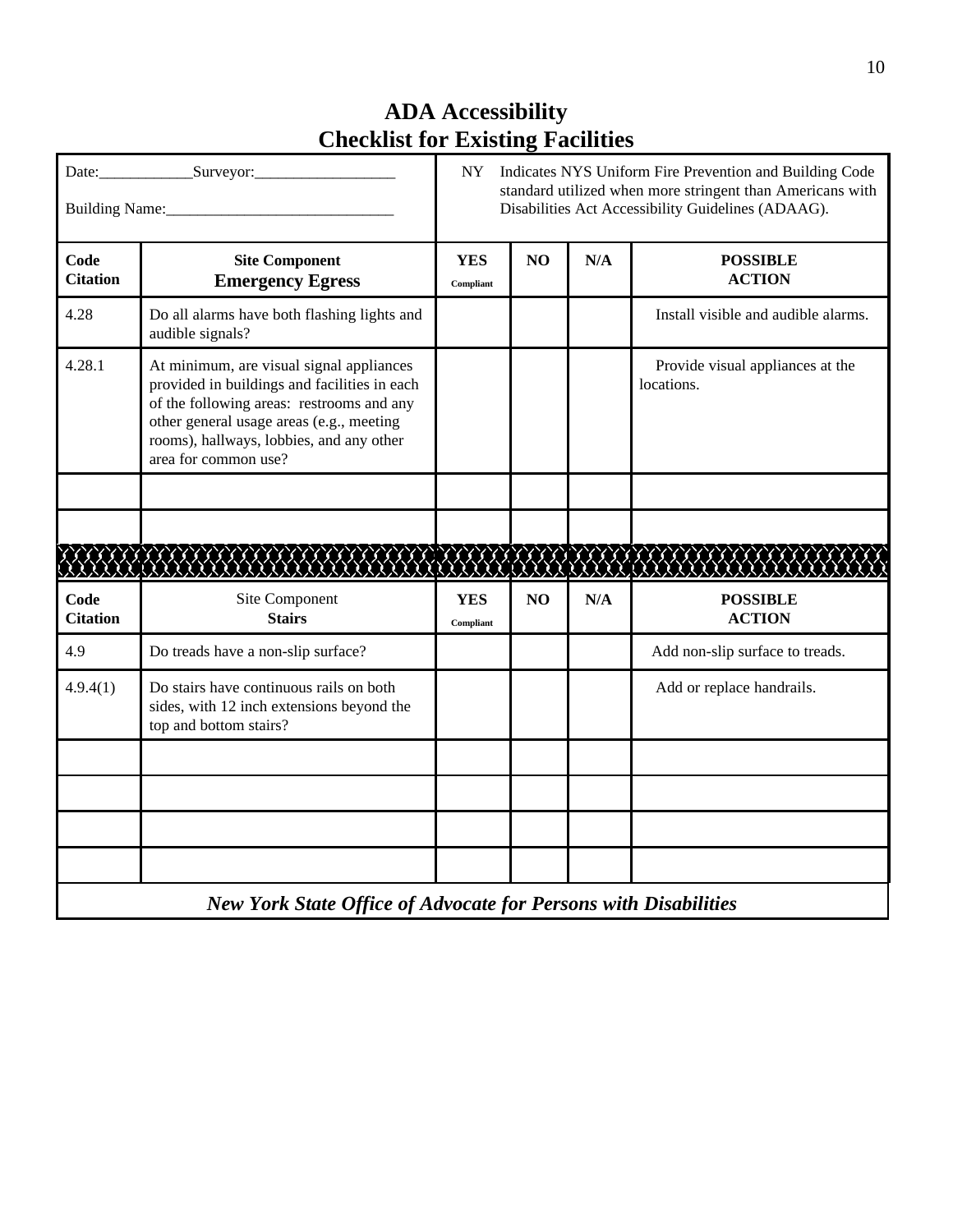| Building Name: 1988     |                                                                                                                                                                                                                                                       | NY<br>Indicates NYS Uniform Fire Prevention and Building Code<br>standard utilized when more stringent than Americans with<br>Disabilities Act Accessibility Guidelines (ADAAG). |                |     |                                                |  |  |
|-------------------------|-------------------------------------------------------------------------------------------------------------------------------------------------------------------------------------------------------------------------------------------------------|----------------------------------------------------------------------------------------------------------------------------------------------------------------------------------|----------------|-----|------------------------------------------------|--|--|
| Code<br><b>Citation</b> | <b>Site Component</b><br><b>Emergency Egress</b>                                                                                                                                                                                                      | <b>YES</b><br>Compliant                                                                                                                                                          | N <sub>O</sub> | N/A | <b>POSSIBLE</b><br><b>ACTION</b>               |  |  |
| 4.28                    | Do all alarms have both flashing lights and<br>audible signals?                                                                                                                                                                                       |                                                                                                                                                                                  |                |     | Install visible and audible alarms.            |  |  |
| 4.28.1                  | At minimum, are visual signal appliances<br>provided in buildings and facilities in each<br>of the following areas: restrooms and any<br>other general usage areas (e.g., meeting<br>rooms), hallways, lobbies, and any other<br>area for common use? |                                                                                                                                                                                  |                |     | Provide visual appliances at the<br>locations. |  |  |
|                         |                                                                                                                                                                                                                                                       |                                                                                                                                                                                  |                |     |                                                |  |  |
|                         | <u> KAANAN KAAN KAANAN KAANAN KA</u>                                                                                                                                                                                                                  |                                                                                                                                                                                  |                |     |                                                |  |  |
| Code<br><b>Citation</b> | Site Component<br><b>Stairs</b>                                                                                                                                                                                                                       | <b>YES</b><br>Compliant                                                                                                                                                          | NO             | N/A | <b>POSSIBLE</b><br><b>ACTION</b>               |  |  |
| 4.9                     | Do treads have a non-slip surface?                                                                                                                                                                                                                    |                                                                                                                                                                                  |                |     | Add non-slip surface to treads.                |  |  |
| 4.9.4(1)                | Do stairs have continuous rails on both<br>sides, with 12 inch extensions beyond the<br>top and bottom stairs?                                                                                                                                        |                                                                                                                                                                                  |                |     | Add or replace handrails.                      |  |  |
|                         |                                                                                                                                                                                                                                                       |                                                                                                                                                                                  |                |     |                                                |  |  |
|                         |                                                                                                                                                                                                                                                       |                                                                                                                                                                                  |                |     |                                                |  |  |
|                         |                                                                                                                                                                                                                                                       |                                                                                                                                                                                  |                |     |                                                |  |  |
|                         |                                                                                                                                                                                                                                                       |                                                                                                                                                                                  |                |     |                                                |  |  |
|                         | <b>New York State Office of Advocate for Persons with Disabilities</b>                                                                                                                                                                                |                                                                                                                                                                                  |                |     |                                                |  |  |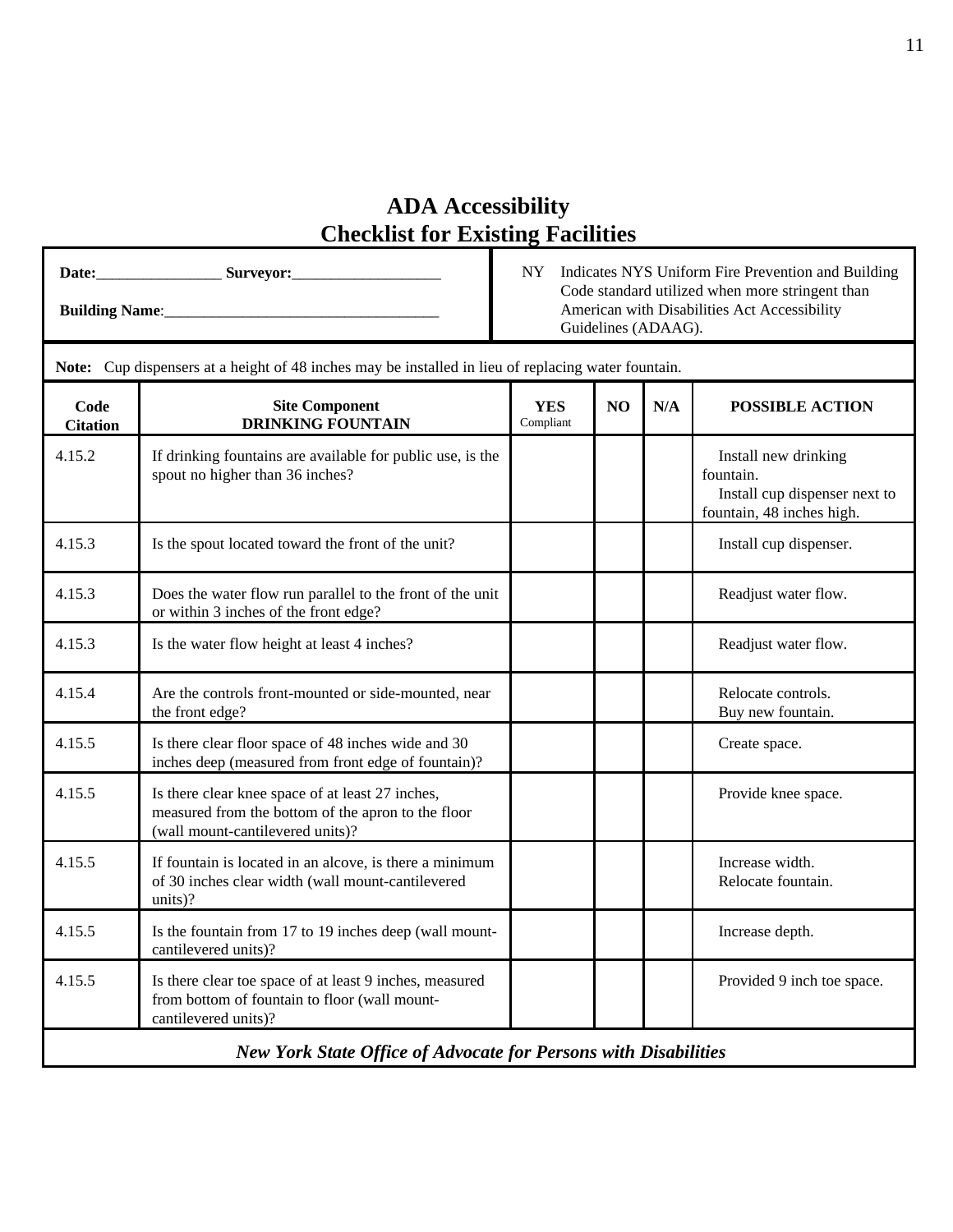**Date:**\_\_\_\_\_\_\_\_\_\_\_\_\_\_\_\_ **Surveyor:**\_\_\_\_\_\_\_\_\_\_\_\_\_\_\_\_\_\_\_ **Building Name:** 

 NY Indicates NYS Uniform Fire Prevention and Building Code standard utilized when more stringent than American with Disabilities Act Accessibility Guidelines (ADAAG).

| Note: Cup dispensers at a height of 48 inches may be installed in lieu of replacing water fountain. |                                                                                                                                            |                         |    |     |                                                                                                 |  |
|-----------------------------------------------------------------------------------------------------|--------------------------------------------------------------------------------------------------------------------------------------------|-------------------------|----|-----|-------------------------------------------------------------------------------------------------|--|
| Code<br><b>Citation</b>                                                                             | <b>Site Component</b><br><b>DRINKING FOUNTAIN</b>                                                                                          | <b>YES</b><br>Compliant | NO | N/A | <b>POSSIBLE ACTION</b>                                                                          |  |
| 4.15.2                                                                                              | If drinking fountains are available for public use, is the<br>spout no higher than 36 inches?                                              |                         |    |     | Install new drinking<br>fountain.<br>Install cup dispenser next to<br>fountain, 48 inches high. |  |
| 4.15.3                                                                                              | Is the spout located toward the front of the unit?                                                                                         |                         |    |     | Install cup dispenser.                                                                          |  |
| 4.15.3                                                                                              | Does the water flow run parallel to the front of the unit<br>or within 3 inches of the front edge?                                         |                         |    |     | Readjust water flow.                                                                            |  |
| 4.15.3                                                                                              | Is the water flow height at least 4 inches?                                                                                                |                         |    |     | Readjust water flow.                                                                            |  |
| 4.15.4                                                                                              | Are the controls front-mounted or side-mounted, near<br>the front edge?                                                                    |                         |    |     | Relocate controls.<br>Buy new fountain.                                                         |  |
| 4.15.5                                                                                              | Is there clear floor space of 48 inches wide and 30<br>inches deep (measured from front edge of fountain)?                                 |                         |    |     | Create space.                                                                                   |  |
| 4.15.5                                                                                              | Is there clear knee space of at least 27 inches,<br>measured from the bottom of the apron to the floor<br>(wall mount-cantilevered units)? |                         |    |     | Provide knee space.                                                                             |  |
| 4.15.5                                                                                              | If fountain is located in an alcove, is there a minimum<br>of 30 inches clear width (wall mount-cantilevered<br>units)?                    |                         |    |     | Increase width.<br>Relocate fountain.                                                           |  |
| 4.15.5                                                                                              | Is the fountain from 17 to 19 inches deep (wall mount-<br>cantilevered units)?                                                             |                         |    |     | Increase depth.                                                                                 |  |
| 4.15.5                                                                                              | Is there clear toe space of at least 9 inches, measured<br>from bottom of fountain to floor (wall mount-<br>cantilevered units)?           |                         |    |     | Provided 9 inch toe space.                                                                      |  |
| New York State Office of Advocate for Persons with Disabilities                                     |                                                                                                                                            |                         |    |     |                                                                                                 |  |

*New York State Office of Advocate for Persons with Disabilities*